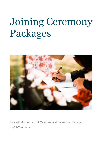# Joining Ceremony Packages



Estelle F Muspratt - Civil Celebrant and Ceremonial Manager *2nd Edition 2022*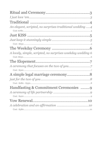| An elegant, scripted, no surprises traditional wedding 4   |
|------------------------------------------------------------|
|                                                            |
|                                                            |
|                                                            |
| A lovely, simple, scripted, no surprises weekday wedding 6 |
|                                                            |
|                                                            |
|                                                            |
|                                                            |
| Handfasting & Commitment Ceremonies 9                      |
|                                                            |
|                                                            |
|                                                            |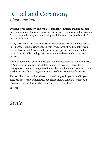### Ritual and Ceremony *I just love 'em*

I've long loved ceremony and ritual - I think it stems from making my first holy communion - the white robes and the sense of ceremony and procession. I loved the whole liturgical dance thing we did at school too and boy did I love an audience!

In my early teens I performed in David Fanshawe's African Sanctus - look it up - a choral latin mass juxtaposed with live records of traditional african music. So awesome! I went on to performing operas, theatre and on the radio. Later I studied acting, became an actor and eventually a theatre director.

I have delivered live performances and ceremonies in many towns and cities in Australia, Europe and the Middle East in the decades since. I have managed ceremonies, been part of them, observed them and broadcast them. Its this passion that I bring to the creation of my ceremonies for others.

This small booklet outlines the sorts of wedding packages I can offer you. They are necessarily generalised, but please know I can easily 'bespoke' a ceremony for your that works to your specific circumstances.

Just ask.

*Stella*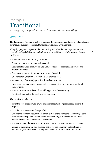### Package 1 Traditional

*An elegant, scripted, no surprises traditional wedding*

#### Cost: \$780

The Traditional Package is just as it sounds; the preparation and delivery of an elegant, scripted, no surprises, beautiful traditional wedding. I will provide:

all legally prepared paperwork before, during and after the marriage ceremony to cover all the legal obligations as both an authorised Marriage Celebrant & a Justice of the Peace

- A ceremony duration up to 50 minutes.
- A signing table and two chairs, if needed.
- Basic amplification of my voice and a microphone for the marrying couple and readers, if needed.
- Assistance/guidance to prepare your vows, if needed.
- One rehearsal (additional rehearsals are charged for).
- Access to my *clients only portal* with loads of resources.
- Invoices, agreements, receipts, as well as a pricing & refund policy given for all transactions.
- Phone contact on the day of the wedding prior to the ceremony.
- No other booking for the celebrant on that day.

#### *The couple are asked to*

- cover the cost of celebrants travel or accommodation by prior arrangements if required
- provide 2 witnesses over the age of 18
- Understand the legal requirement that if either of the parties to the marriage does not understand spoken English or cannot speak English, the couple will need engage a translator to translate the wedding.
- it is recommended that couples seeking to engage a translator have a rehearsal.
- adhere to the minimum one month's notice for the ceremony unless there are extenuating circumstances that require a court order for a shortening of time.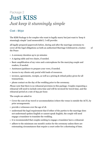### Package 2 Just KISS *Just keep it stunningly simple*

#### Cost : \$650

The KISS Package is for couples who want to legally marry but just want to 'keep it stunningly simple' (and memorable!). I will provide:

all legally prepared paperwork before, during and after the marriage ceremony to cover all the legal obligations as both an authorised Marriage Celebrant & a Justice of the Peace

- A ceremony duration up to 50 minutes
- A signing table and two chairs, if needed.
- Basic amplification of my voice and a microphone for the marrying couple and readers, if needed.
- Assistance/guidance to prepare your vows, if needed.
- Access to my clients only portal with loads of resources.
- invoices, agreements, receipts, as well as a pricing & refund policy given for all transactions.
- phone contact on the day of the wedding prior to the ceremony.

*Please note* that there is no rehearsal provision in this package. Couples requesting a rehearsal will need to include extra time and will be invoiced for travel time, and the rehearsal period at a rate of \$55 per hour.

The couple are asked to:

- Cover the cost of my travel or accommodation (where the venue is outside the ACT), by prior arrangements.
- provide 2 witnesses over the age of 18.
- understand the legal requirement that if either of the parties to the marriage does not understand spoken English or cannot speak English, the couple will need engage a translator to translate the wedding.
- it is recommended that couples seeking to engage a translator have a rehearsal.
- adhere to the minimum one month's notice for the ceremony unless there are extenuating circumstances that require a court order for a shortening of time.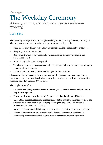### Package 3 The Weekday Ceremony

*A lovely, simple, scripted, no surprises weekday wedding* 

#### Cost: \$630

The Weekday Package is ideal for couples seeking to marry during the week: Monday to Thursday and a ceremony duration up to 50 minutes. I will provide:

- Your choice of wedding vows and my assistance with the scripting of your service .
- A signing table and two chairs.
- Basic amplification of my voice and a microphone for the marrying couple and readers, if needed.
- Access to my online resources portal.
- Timely provision of invoices, agreements, receipts, as well as a pricing & refund policy given for all transactions.
- Phone contact on the day of the wedding prior to the ceremony.

Please note that there is no rehearsal provision in this package. Couples requesting a rehearsal will need to include extra time and will be invoiced for my travel time, and the rehearsal period at a rate of \$55 per hour.

The couple are asked to:

- Cover the cost of my travel or accommodation (where the venue is outside the ACT), by prior arrangements.
- Provide 2 witnesses over the age of 18, and can read and understand English.
- Understand the legal requirement that if either of the parties to the marriage does not understand spoken English or cannot speak English, the couple will engage a translator to translate the wedding.

*Note:* it is recommended that couples seeking to engage a translator have a rehearsal.

• Adhere to the minimum one month's notice for the ceremony unless there are extenuating circumstances that require a court order for a shortening of time.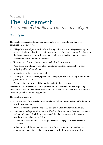### Package 4 The Elopement *A ceremony that focuses on the two of you*

#### Cost : \$520

The Kiss Package is ideal for couples choosing to marry without an audience or complication. I will provide:

- all legally prepared paperwork before, during and after the marriage ceremony to cover all the legal obligations as both an authorised Marriage Celebrant & a Justice of the Peace (please note you will need to meet all legal obligations required to marry).
- A ceremony duration up to 20 minutes.
- No more than 8 people in attendance, including the witnesses.
- Your choice of wedding vows and my assistance with the scripting of your service .
- A signing table and two chairs.
- Access to my online resources portal.
- Timely provision of invoices, agreements, receipts, as well as a pricing & refund policy given for all transactions.
- Phone contact on the day of the wedding prior to the ceremony.

Please note that there is no rehearsal provision in this package. Couples requesting a rehearsal will need to include extra time and will be invoiced for my travel time, and the rehearsal period at a rate of \$55 per hour.

The couple are asked to:

- Cover the cost of my travel or accommodation (where the venue is outside the ACT), by prior arrangements
- Provide 2 witnesses over the age of 18, and can read and understand English.
- Understand the legal requirement that if either of the parties to the marriage does not understand spoken English or cannot speak English, the couple will engage a translator to translate the wedding.
	- Note: it is recommended that couples seeking to engage a translator have a rehearsal.
- Adhere to the minimum one month's notice for the ceremony unless there are extenuating circumstances that require a court order for a shortening of time.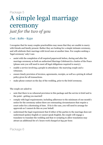### Package 5 A simple legal marriage ceremony *just for the two of you*

### Cost : \$280 - \$330

I recognise that for many couples practicalities may mean that they are unable to marry with friends and family present. Rather they are looking for a simple intimate ceremony, and will celebrate their marriage with loved ones at another time. For couples seeking a 'legal ceremony' only I can:

- assist with the completion of all required paperwork before, during and after the marriage ceremony as both an authorised Marriage Celebrant & a Justice of the Peace (please note you will need to meet all legal obligations required to marry).
- enable a service involving 4 people in attendance: the marrying couple and 2 witnesses.
- ensure timely provision of invoices, agreements, receipts, as well as a pricing & refund policy given for all transactions.
- make phone contact on the day of the wedding, prior to the brief ceremony.

The couple are asked to:

- note that there is no rehearsal provision in this package and the service is brief and to the point - getting you married!
- comply with legal requirements; including adherence to the minimum of one month's notice for the ceremony unless there are extenuating circumstances that require a court order for a shortening of time. If tis is the case, you will need to arrange for approvals as I cannot do this on your behalf.
- understand the legal requirement that if either of the parties to the marriage does not understand spoken English or cannot speak English, the couple will engage a translator to translate the wedding and that re-scripting to allow translation may attract an additional fee of 1 hours work charged at \$55 per hour.

### Package 6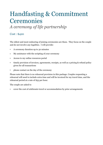## Handfasting & Commitment Ceremonies

*A ceremony of life partnership* 

#### Cost : \$420

The oldest and most endearing of joining ceremonies are these. They focus on the couple and do not involve any legalities. I will provide:

- A ceremony duration up to 30 minutes
- My assistance with the scripting of your ceremony
- Access to my online resources portal
- timely provision of invoices, agreements, receipts, as well as a pricing & refund policy given for all transactions
- phone contact on the day of the ceremony

Please note that there is no rehearsal provision in this package. Couples requesting a rehearsal will need to include extra time and will be invoiced for my travel time, and the rehearsal period at a rate of \$55 per hour.

The couple are asked to

• cover the cost of celebrants travel or accommodation by prior arrangements